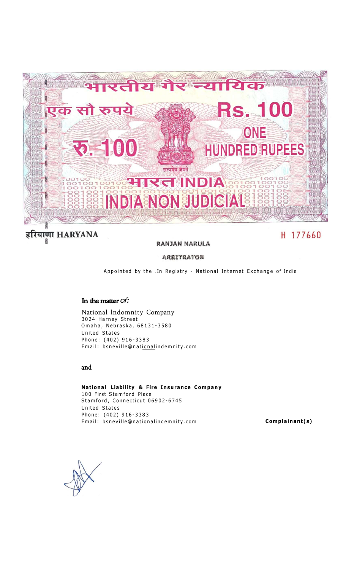

#### हरियाणा HARYANA 舅

## **RANJAN NARULA**

H 177660

# **ARRITRATOR**

Appointed by the .In Registry - National Internet Exchange of India

### **In the matter** *of:*

National lndomnity Company 3024 Harney Street Omaha, Nebraska, 68131-3580 United States Phone: (402) 916-338 3 Email: bsneville@nationalindemnity.com

### **and**

**National Liability & Fire Insurance Company** 1 00 First Stamford Place Stamford, Connecticut 06902-6745 United States Phone: (402) 916-338 3 Email: **[bsneville@nationalindemnity.com](http://bsneviliePnationalindemnity.com) Complainant(s)**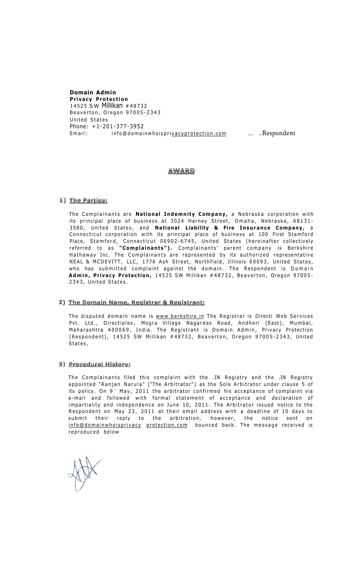## **Domain Admin**

**Privacy Protection**  14525 SW Millikan #4873 2 Beaverton, Oregon 97005-234 3 United States Phone: +1-201-377-3952 Email: info@domainwhoispri[vacyprotection.com](http://vacyprotection.com) ... ..Respondent

### AWARD

## 1) The Partical

The Complainants are National Indemnity Company, a Nebraska corporation with its principal place of business at 3024 Harney Street, Omaha, Nebraska, 68131-3580, United States, and National Liability & Fire Insurance Company, a Connecticut corporation with its principal place of business at 100 First Stamford Place, Stamford, Connecticut 06902–6745, United States (hereinafter collectively referred to as **"Complainants").** Complainants' parent company is Berkshire Hathaway Inc. The Complainants are represented by its authorized representative NEAL & MCDEVITT, LLC, 1776 Ash Street, Northfield, Illinois 60093, United States, who has submitted complaint against the domain. The Respondent is Domain Admin, Privacy Protection, 14525 SW Millikan #48732, Beaverton, Oregon 97005-2343, United States.

### 2) The Domain Name, Registrar & Registrant:

The disputed domain name is [www.berkshire.in](http://www.berkshire.in) The Registrar is Directi Web Services Pvt. Ltd., Directiplex, Mogra Village Nagardas Road, Andheri (East), Mumbal, Maharashtra 400069, India. The Registrant is Domain Admin, Privacy Protection (Respondent), 14525 SW Millikan #48732, Beaverton, Oregon 97005-2343, United States ,

### 3) Procedural History:

The Complainants filed this complaint with the .IN Registry and the .IN Registry appointed "Ranjan Narula" ("The Arbitrator") as the Sole Arbitrator under clause 5 of its policy. On 9th May, 2011 the arbitrator confirmed his acceptance of complaint via e-mail and followed with formal statement of acceptance and declaration of impartiality and independence on June 10, 2011. The Arbitrator issued notice to the Respondent on May 23, 2011 at their email address with a deadline of 10 days to submit their reply to the arbitration, however, the notice sent on info@domainwhoisprivacy [protection.com](http://protection.com) bounced back. The message received is reproduced below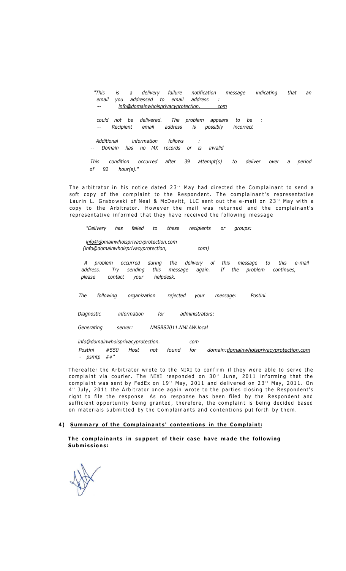*"This is a delivery failure notification message indicating that an email you addressed to email address : -- info@domainwhoisprivacyprotection. com* 

*could not be delivered. The problem appears to be : -- Recipient email address is possibly incorrect* 

*Additional information follows : -- Domain has no MX records or is invalid* 

*This condition occurred after 39 attempt(s) to deliver over a period of 92 hour(s)."* 

The arbitrator in his notice dated  $23^{\circ}$  May had directed the Complainant to send a soft copy of the complaint to the Respondent. The complainant's representative Laurin L. Grabowski of Neal & McDevitt, LLC sent out the e-mail on 23'' May with a copy to the Arbitrator. However the mail was returned and the complainant's representative informed that they have received the following message

*"Delivery has failed to these recipients or groups:* 

*info@domainwhoisprivacvprotection.com (info@domainwhoisprivacyprotection, com)* 

*A problem occurred during the delivery of this message to this e-mail address. Try sending this message again. If the problem continues, please contact your helpdesk.* 

*The following organization rejected your message: Postini.* 

*Diagnostic information for administrators:* 

*Generating server: NMSBS2011.NMLAW.local* 

*info@domainwhoisprivacyprotection. com* 

*Postini #550 Host not found for domain:[domainwhoisprivacyprotection.com](http://domainwhoisprivacyprotection.com) - psmtp ##"* 

Thereafter the Arbitrator wrote to the NIXI to confirm if they were able to serve the complaint via courier. The NIXI responded on 30<sup>th</sup> June, 2011 informing that the complaint was sent by FedEx on 19… May, 2011 and delivered on 23<sup>.</sup> May, 2011. On 4th July, 2011 the Arbitrator once again wrote to the parties closing the Respondent's right to file the response As no response has been filed by the Respondent and sufficient opportunity being granted, therefore, the complaint is being decided based on materials submitted by the Complainants and contentions put forth by them.

#### 4) Summary of the Complainants' contentions in the Complaint:

**The complainants in support of their case have made the following Submissions :**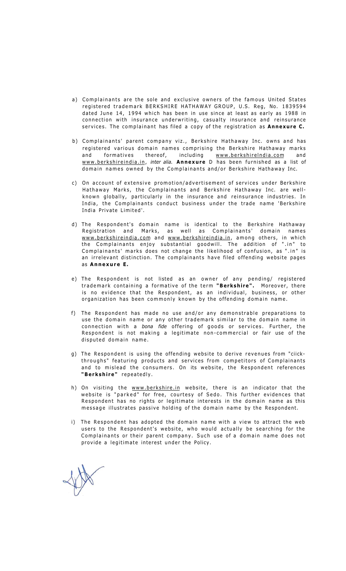- a) Complainants are the sole and exclusive owners of the famous United States registered trademark BERKSHIRE HATHAWAY GROUP, U.S. Reg, No. 1839594 dated June 14, 1994 which has been in use since at least as early as 1988 in connection with insurance underwriting, casualty insurance and reinsurance services . The complainant has filed a copy of the registration as **Annexure C.**
- b) Complainants' parent company viz., Berkshire Hathaway Inc. owns and has registered various domain names comprising the Berkshire Hathaway marks and formatives thereof, including [www.berkshirelndia.com](http://www.berkshirelndia.com) and [www.berkshireindia.in,](http://www.berkshireindia.in) *inter alia.* **Annexure** D has been furnished as a list of domain names owned by the Complainants and/or Berkshire Hathaway Inc.
- c) On account of extensive promotion/advertisement of services under Berkshire Hathaway Marks, the Complainants and Berkshire Hathaway Inc. are wellknown globally, particularly in the insurance and reinsurance industries. In India, the Complainants conduct business under the trade name 'Berkshire India Private Limited'.
- d) The Respondent's domain name is identical to the Berkshire Hathaway Registration and Marks, as well as Complainants' domain names [www.berkshireindia.com](http://www.berkshireindia.com) and [www.berkshireindia.in,](http://www.berkshireindia.in) among others, in which the Complainants enjoy substantial goodwill. The addition of ".in" to Complainants' marks does not change the likelihood of confusion, as ".in" is an irrelevant distinction. The complainants have filed offending website pages as **Annexure E.**
- e) The Respondent is not listed as an owner of any pending/ registered trademark containing a formative of the term "Berkshire". Moreover, there is no evidence that the Respondent, as an individual, business, or other organization has been commonly known by the offending domain name.
- f) The Respondent has made no use and/or any demonstrable preparations to use the domain name or any other trademark similar to the domain name in connection with a *bona fide* offering of goods or services. Further, the Respondent is not making a legitimate non-commercial or fair use of the disputed domain name.
- g) The Respondent is using the offending website to derive revenues from "ciickthroughs" featuring products and services from competitors of Complainants and to mislead the consumers. On its website, the Respondent references **"Berkshire"** repeatedly.
- h) On visiting the [www.berkshire.in w](http://www.berkshire.in)ebsite, there is an indicator that the website is "parked" for free, courtesy of Sedo. This further evidences that Respondent has no rights or legitimate interests in the domain name as this message illustrates passive holding of the domain name by the Respondent.
- i) The Respondent has adopted the domain name with a view to attract the web users to the Respondent's website, who would actually be searching for the Complainants or their parent company. Such use of a domain name does not provide a legitimate interest under the Policy.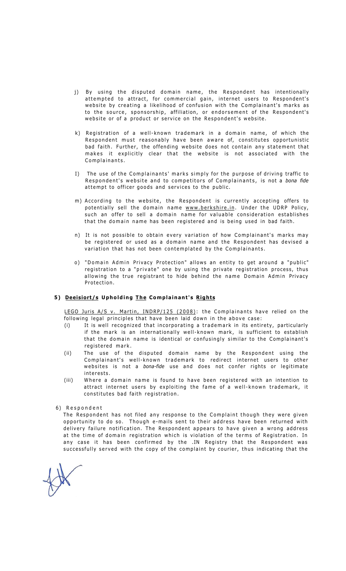- j) By using the disputed domain name, the Respondent has intentionally attempted to attract, for commercial gain, internet users to Respondent's website by creating a likelihood of confusion with the Complainant's marks as to the source, sponsorship, affiliation, or endorsement of the Respondent's website or of a product or service on the Respondent's website.
- k) Registration of a well-known trademark in a domain name, of which the Respondent must reasonably have been aware of, constitutes opportunistic bad faith. Further, the offending website does not contain any statement that makes it explicitly clear that the website is not associated with the Complainants .
- I) The use of the Complainants' marks simply for the purpose of driving traffic to Respondent's website and to competitors of Complainants, is not a bona fide attempt to officer goods and services to the public.
- m) According to the website, the Respondent is currently accepting offers to potentially sell the domain name [www.berkshire.in.](http://www.berkshire.in) Under the UDRP Policy, such an offer to sell a domain name for valuable consideration establishes that the domain name has been registered and is being used in bad faith.
- n) It is not possible to obtain every variation of how Complainant's marks may be registered or used as a domain name and the Respondent has devised a variation that has not been contemplated by the Complainants.
- o) "Domain Admin Privacy Protection" allows an entity to get around a "public" registration to a "private" one by using the private registration process, thus allowing the true registrant to hide behind the name Domain Admin Privacy Protection.

#### 5) Deeisiort/s Upholding The Complainant's Rights

LEGO Juris A/S v. Martin, INDRP/125 (2008): the Complainants have relied on the following legal principles that have been laid down in the above case:

- (i) It is well recognized that incorporating a trademark in its entirety, particularly if the mark is an internationally well-known mark, is sufficient to establish that the domain name is identical or confusingly similar to the Complainant's registered mark .
- (ii) The use of the disputed domain name by the Respondent using the Complainant's well-known trademark to redirect internet users to other websites is not a *bona-fide* use and does not confer rights or legitimate interests .
- (iii) Where a domain name is found to have been registered with an intention to attract internet users by exploiting the fame of a well-known trademark, it constitutes bad faith registration.
- 6) Respondent

The Respondent has not filed any response to the Complaint though they were given opportunity to do so. Though e-mails sent to their address have been returned with delivery failure notification. The Respondent appears to have given a wrong address at the time of domain registration which is violation of the terms of Registration. In any case it has been confirmed by the .IN Registry that the Respondent was successfully served with the copy of the complaint by courier, thus indicating that the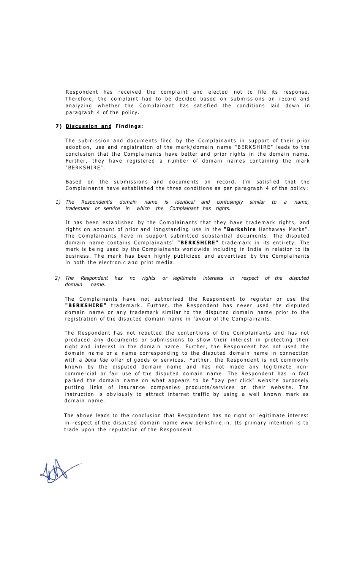Respondent has received the complaint and elected not to file its response. Therefore, the complaint had to be decided based on submissions on record and analyzing whether the Complainant has satisfied the conditions laid down in paragraph 4 of the policy.

### **7) Discussion and Findings:**

The submission and documents filed by the Complainants in support of their prior adoption, use and registration of the mark/domain name "BERKSHIRE" leads to the conclusion that the Complainants have better and prior rights in the domain name. Further, they have registered a number of domain names containing the mark "BERKSHIRE" .

Based on the submissions and documents on record, I'm satisfied that the Complainants have established the three conditions as per paragraph 4 of the policy:

*1) The Respondent's domain name is identical and confusingly similar to a name, trademark or service in which the Complainant has rights.* 

It has been established by the Complainants that they have trademark rights, and rights on account of prior and longstanding use in the **"Berkshire** Hathaway Marks" . The Complainants have in support submitted substantial documents. The disputed domain name contains Complainants' "BERKSHIRE" trademark in its entirety. The mark is being used by the Complainants worldwide including in India in relation to its business. The mark has been highly publicized and advertised by the Complainants in both the electronic and print media.

*2) The Respondent has no rights or legitimate interests in respect of the disputed domain name.* 

The Complainants have not authorised the Respondent to register or use the "BERKSHIRE" trademark. Further, the Respondent has never used the disputed domain name or any trademark similar to the disputed domain name prior to the registration of the disputed domain name in favour of the Complainants .

The Respondent has not rebutted the contentions of the Complainants and has not produced any documents or submissions to show their interest in protecting their right and interest in the domain name. Further, the Respondent has not used the domain name or a name corresponding to the disputed domain name in connection with a bona fide offer of goods or services. Further, the Respondent is not commonly known by the disputed domain name and has not made any legitimate noncommercial or fair use of the disputed domain name. The Respondent has in fact parked the domain name on what appears to be "pay per click" website purposely putting links of insurance companies products/services on their website. The instruction is obviously to attract internet traffic by using a well known mark as domain name .

The above leads to the conclusion that Respondent has no right or legitimate interest in respect of the disputed domain name [www.berkshire.in.](http://www.berkshire.in) Its primary intention is to trade upon the reputation of the Respondent.